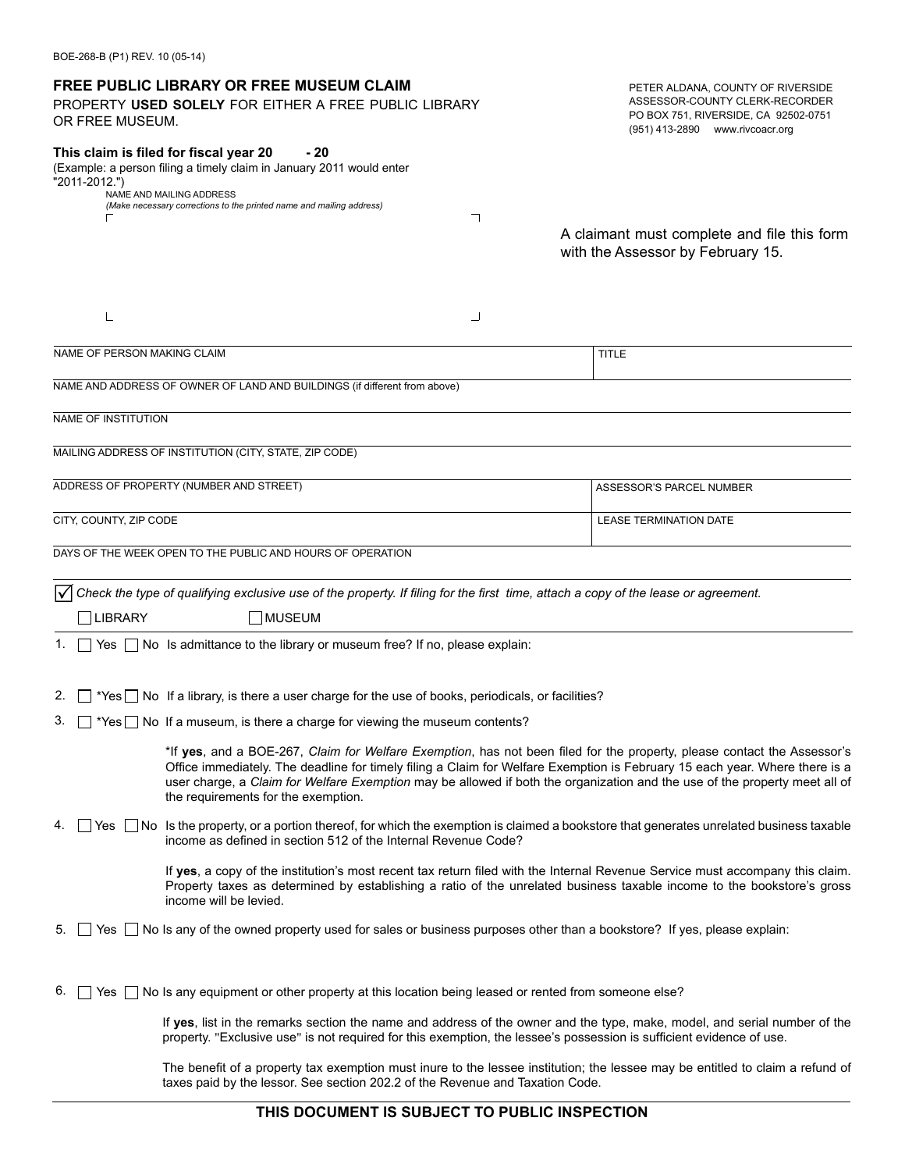| OR FREE MUSEUM.             | <b>FREE PUBLIC LIBRARY OR FREE MUSEUM CLAIM</b><br>PROPERTY USED SOLELY FOR EITHER A FREE PUBLIC LIBRARY                                                                                                                                                                                                                                                                                                                    | PETER ALDANA, COUNTY OF RIVERSIDE<br>ASSESSOR-COUNTY CLERK-RECORDER<br>PO BOX 751, RIVERSIDE, CA 92502-0751<br>(951) 413-2890 www.rivcoacr.org |  |  |
|-----------------------------|-----------------------------------------------------------------------------------------------------------------------------------------------------------------------------------------------------------------------------------------------------------------------------------------------------------------------------------------------------------------------------------------------------------------------------|------------------------------------------------------------------------------------------------------------------------------------------------|--|--|
| "2011-2012.")               | This claim is filed for fiscal year 20<br>- 20<br>(Example: a person filing a timely claim in January 2011 would enter<br>NAME AND MAILING ADDRESS<br>(Make necessary corrections to the printed name and mailing address)                                                                                                                                                                                                  |                                                                                                                                                |  |  |
|                             | ┑                                                                                                                                                                                                                                                                                                                                                                                                                           | A claimant must complete and file this form<br>with the Assessor by February 15.                                                               |  |  |
| L                           | ┘                                                                                                                                                                                                                                                                                                                                                                                                                           |                                                                                                                                                |  |  |
| NAME OF PERSON MAKING CLAIM |                                                                                                                                                                                                                                                                                                                                                                                                                             | <b>TITLE</b>                                                                                                                                   |  |  |
|                             | NAME AND ADDRESS OF OWNER OF LAND AND BUILDINGS (if different from above)                                                                                                                                                                                                                                                                                                                                                   |                                                                                                                                                |  |  |
| NAME OF INSTITUTION         |                                                                                                                                                                                                                                                                                                                                                                                                                             |                                                                                                                                                |  |  |
|                             | MAILING ADDRESS OF INSTITUTION (CITY, STATE, ZIP CODE)                                                                                                                                                                                                                                                                                                                                                                      |                                                                                                                                                |  |  |
|                             |                                                                                                                                                                                                                                                                                                                                                                                                                             |                                                                                                                                                |  |  |
|                             | ADDRESS OF PROPERTY (NUMBER AND STREET)                                                                                                                                                                                                                                                                                                                                                                                     | ASSESSOR'S PARCEL NUMBER                                                                                                                       |  |  |
| CITY, COUNTY, ZIP CODE      |                                                                                                                                                                                                                                                                                                                                                                                                                             | <b>LEASE TERMINATION DATE</b>                                                                                                                  |  |  |
|                             | DAYS OF THE WEEK OPEN TO THE PUBLIC AND HOURS OF OPERATION                                                                                                                                                                                                                                                                                                                                                                  |                                                                                                                                                |  |  |
|                             | $\sqrt{}$ Check the type of qualifying exclusive use of the property. If filing for the first time, attach a copy of the lease or agreement.                                                                                                                                                                                                                                                                                |                                                                                                                                                |  |  |
| <b>LIBRARY</b>              | MUSEUM                                                                                                                                                                                                                                                                                                                                                                                                                      |                                                                                                                                                |  |  |
|                             | 1. Yes No Is admittance to the library or museum free? If no, please explain:                                                                                                                                                                                                                                                                                                                                               |                                                                                                                                                |  |  |
| 2.                          | *Yes no If a library, is there a user charge for the use of books, periodicals, or facilities?                                                                                                                                                                                                                                                                                                                              |                                                                                                                                                |  |  |
| 3.                          | $\Box$ *Yes $\Box$ No If a museum, is there a charge for viewing the museum contents?                                                                                                                                                                                                                                                                                                                                       |                                                                                                                                                |  |  |
|                             | *If yes, and a BOE-267, Claim for Welfare Exemption, has not been filed for the property, please contact the Assessor's<br>Office immediately. The deadline for timely filing a Claim for Welfare Exemption is February 15 each year. Where there is a<br>user charge, a Claim for Welfare Exemption may be allowed if both the organization and the use of the property meet all of<br>the requirements for the exemption. |                                                                                                                                                |  |  |
| 4.<br>Yes                   | No Is the property, or a portion thereof, for which the exemption is claimed a bookstore that generates unrelated business taxable<br>income as defined in section 512 of the Internal Revenue Code?                                                                                                                                                                                                                        |                                                                                                                                                |  |  |
|                             | If yes, a copy of the institution's most recent tax return filed with the Internal Revenue Service must accompany this claim.<br>Property taxes as determined by establishing a ratio of the unrelated business taxable income to the bookstore's gross<br>income will be levied.                                                                                                                                           |                                                                                                                                                |  |  |
| 5.                          | Yes No Is any of the owned property used for sales or business purposes other than a bookstore? If yes, please explain:                                                                                                                                                                                                                                                                                                     |                                                                                                                                                |  |  |
| 6.                          | Yes $\Box$ No Is any equipment or other property at this location being leased or rented from someone else?                                                                                                                                                                                                                                                                                                                 |                                                                                                                                                |  |  |
|                             | If yes, list in the remarks section the name and address of the owner and the type, make, model, and serial number of the<br>property. "Exclusive use" is not required for this exemption, the lessee's possession is sufficient evidence of use.                                                                                                                                                                           |                                                                                                                                                |  |  |
|                             | The benefit of a property tax exemption must inure to the lessee institution; the lessee may be entitled to claim a refund of                                                                                                                                                                                                                                                                                               |                                                                                                                                                |  |  |

BOE-268-B (P1) REV. 10 (05-14)

**THIS DOCUMENT IS SUBJECT TO PUBLIC INSPECTION**

taxes paid by the lessor. See section 202.2 of the Revenue and Taxation Code.